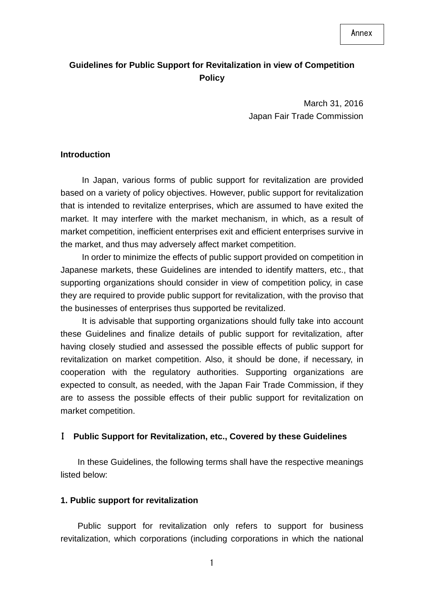## **Guidelines for Public Support for Revitalization in view of Competition Policy**

 March 31, 2016 Japan Fair Trade Commission

#### **Introduction**

In Japan, various forms of public support for revitalization are provided based on a variety of policy objectives. However, public support for revitalization that is intended to revitalize enterprises, which are assumed to have exited the market. It may interfere with the market mechanism, in which, as a result of market competition, inefficient enterprises exit and efficient enterprises survive in the market, and thus may adversely affect market competition.

In order to minimize the effects of public support provided on competition in Japanese markets, these Guidelines are intended to identify matters, etc., that supporting organizations should consider in view of competition policy, in case they are required to provide public support for revitalization, with the proviso that the businesses of enterprises thus supported be revitalized.

It is advisable that supporting organizations should fully take into account these Guidelines and finalize details of public support for revitalization, after having closely studied and assessed the possible effects of public support for revitalization on market competition. Also, it should be done, if necessary, in cooperation with the regulatory authorities. Supporting organizations are expected to consult, as needed, with the Japan Fair Trade Commission, if they are to assess the possible effects of their public support for revitalization on market competition.

#### I **Public Support for Revitalization, etc., Covered by these Guidelines**

In these Guidelines, the following terms shall have the respective meanings listed below:

#### **1. Public support for revitalization**

Public support for revitalization only refers to support for business revitalization, which corporations (including corporations in which the national

1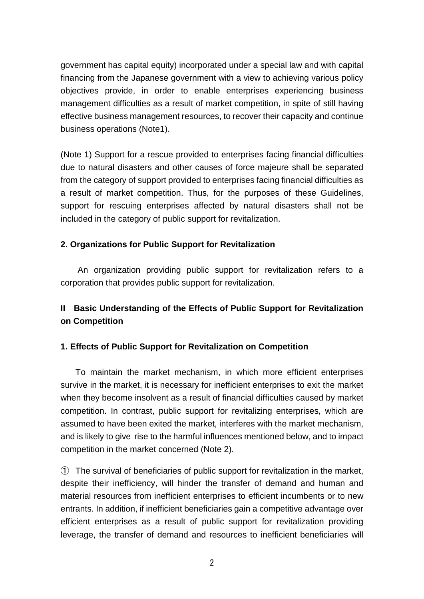government has capital equity) incorporated under a special law and with capital financing from the Japanese government with a view to achieving various policy objectives provide, in order to enable enterprises experiencing business management difficulties as a result of market competition, in spite of still having effective business management resources, to recover their capacity and continue business operations (Note1).

(Note 1) Support for a rescue provided to enterprises facing financial difficulties due to natural disasters and other causes of force majeure shall be separated from the category of support provided to enterprises facing financial difficulties as a result of market competition. Thus, for the purposes of these Guidelines, support for rescuing enterprises affected by natural disasters shall not be included in the category of public support for revitalization.

## **2. Organizations for Public Support for Revitalization**

An organization providing public support for revitalization refers to a corporation that provides public support for revitalization.

# **II Basic Understanding of the Effects of Public Support for Revitalization on Competition**

## **1. Effects of Public Support for Revitalization on Competition**

To maintain the market mechanism, in which more efficient enterprises survive in the market, it is necessary for inefficient enterprises to exit the market when they become insolvent as a result of financial difficulties caused by market competition. In contrast, public support for revitalizing enterprises, which are assumed to have been exited the market, interferes with the market mechanism, and is likely to give rise to the harmful influences mentioned below, and to impact competition in the market concerned (Note 2).

① The survival of beneficiaries of public support for revitalization in the market, despite their inefficiency, will hinder the transfer of demand and human and material resources from inefficient enterprises to efficient incumbents or to new entrants. In addition, if inefficient beneficiaries gain a competitive advantage over efficient enterprises as a result of public support for revitalization providing leverage, the transfer of demand and resources to inefficient beneficiaries will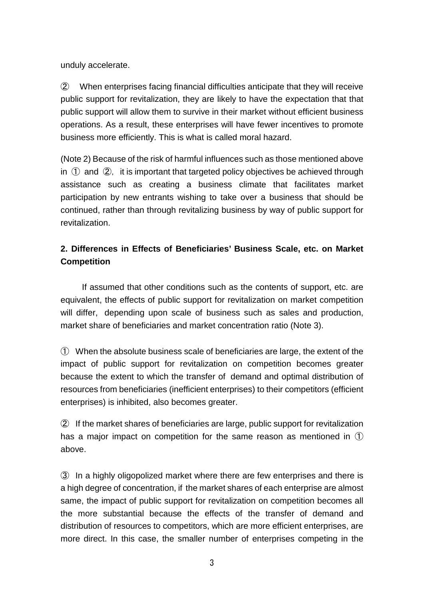unduly accelerate.

② When enterprises facing financial difficulties anticipate that they will receive public support for revitalization, they are likely to have the expectation that that public support will allow them to survive in their market without efficient business operations. As a result, these enterprises will have fewer incentives to promote business more efficiently. This is what is called moral hazard.

(Note 2) Because of the risk of harmful influences such as those mentioned above in  $(1)$  and  $(2)$ , it is important that targeted policy objectives be achieved through assistance such as creating a business climate that facilitates market participation by new entrants wishing to take over a business that should be continued, rather than through revitalizing business by way of public support for revitalization.

# **2. Differences in Effects of Beneficiaries' Business Scale, etc. on Market Competition**

If assumed that other conditions such as the contents of support, etc. are equivalent, the effects of public support for revitalization on market competition will differ, depending upon scale of business such as sales and production, market share of beneficiaries and market concentration ratio (Note 3).

① When the absolute business scale of beneficiaries are large, the extent of the impact of public support for revitalization on competition becomes greater because the extent to which the transfer of demand and optimal distribution of resources from beneficiaries (inefficient enterprises) to their competitors (efficient enterprises) is inhibited, also becomes greater.

② If the market shares of beneficiaries are large, public support for revitalization has a major impact on competition for the same reason as mentioned in  $\mathbb O$ above.

③ In a highly oligopolized market where there are few enterprises and there is a high degree of concentration, if the market shares of each enterprise are almost same, the impact of public support for revitalization on competition becomes all the more substantial because the effects of the transfer of demand and distribution of resources to competitors, which are more efficient enterprises, are more direct. In this case, the smaller number of enterprises competing in the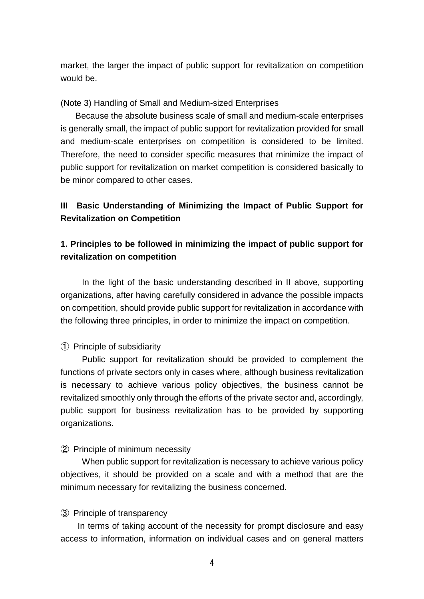market, the larger the impact of public support for revitalization on competition would be.

### (Note 3) Handling of Small and Medium-sized Enterprises

Because the absolute business scale of small and medium-scale enterprises is generally small, the impact of public support for revitalization provided for small and medium-scale enterprises on competition is considered to be limited. Therefore, the need to consider specific measures that minimize the impact of public support for revitalization on market competition is considered basically to be minor compared to other cases.

## **III Basic Understanding of Minimizing the Impact of Public Support for Revitalization on Competition**

## **1. Principles to be followed in minimizing the impact of public support for revitalization on competition**

In the light of the basic understanding described in II above, supporting organizations, after having carefully considered in advance the possible impacts on competition, should provide public support for revitalization in accordance with the following three principles, in order to minimize the impact on competition.

### ① Principle of subsidiarity

Public support for revitalization should be provided to complement the functions of private sectors only in cases where, although business revitalization is necessary to achieve various policy objectives, the business cannot be revitalized smoothly only through the efforts of the private sector and, accordingly, public support for business revitalization has to be provided by supporting organizations.

### ② Principle of minimum necessity

When public support for revitalization is necessary to achieve various policy objectives, it should be provided on a scale and with a method that are the minimum necessary for revitalizing the business concerned.

### ③ Principle of transparency

 In terms of taking account of the necessity for prompt disclosure and easy access to information, information on individual cases and on general matters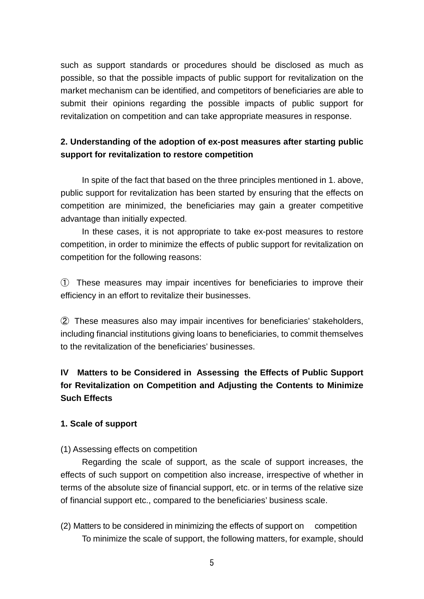such as support standards or procedures should be disclosed as much as possible, so that the possible impacts of public support for revitalization on the market mechanism can be identified, and competitors of beneficiaries are able to submit their opinions regarding the possible impacts of public support for revitalization on competition and can take appropriate measures in response.

# **2. Understanding of the adoption of ex-post measures after starting public support for revitalization to restore competition**

 In spite of the fact that based on the three principles mentioned in 1. above, public support for revitalization has been started by ensuring that the effects on competition are minimized, the beneficiaries may gain a greater competitive advantage than initially expected.

In these cases, it is not appropriate to take ex-post measures to restore competition, in order to minimize the effects of public support for revitalization on competition for the following reasons:

① These measures may impair incentives for beneficiaries to improve their efficiency in an effort to revitalize their businesses.

② These measures also may impair incentives for beneficiaries' stakeholders, including financial institutions giving loans to beneficiaries, to commit themselves to the revitalization of the beneficiaries' businesses.

# **IV Matters to be Considered in Assessing the Effects of Public Support for Revitalization on Competition and Adjusting the Contents to Minimize Such Effects**

### **1. Scale of support**

### (1) Assessing effects on competition

Regarding the scale of support, as the scale of support increases, the effects of such support on competition also increase, irrespective of whether in terms of the absolute size of financial support, etc. or in terms of the relative size of financial support etc., compared to the beneficiaries' business scale.

(2) Matters to be considered in minimizing the effects of support on competition To minimize the scale of support, the following matters, for example, should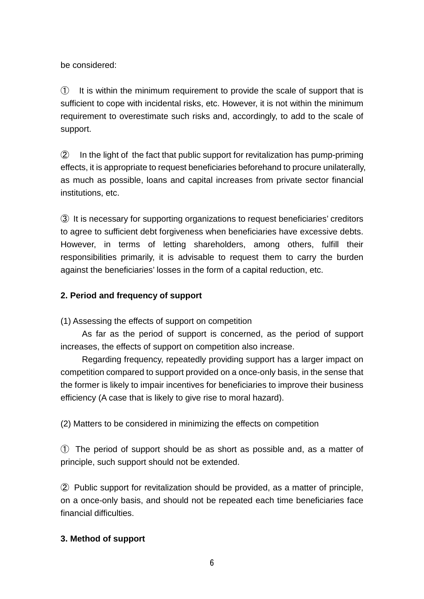be considered:

① It is within the minimum requirement to provide the scale of support that is sufficient to cope with incidental risks, etc. However, it is not within the minimum requirement to overestimate such risks and, accordingly, to add to the scale of support.

② In the light of the fact that public support for revitalization has pump-priming effects, it is appropriate to request beneficiaries beforehand to procure unilaterally, as much as possible, loans and capital increases from private sector financial institutions, etc.

③ It is necessary for supporting organizations to request beneficiaries' creditors to agree to sufficient debt forgiveness when beneficiaries have excessive debts. However, in terms of letting shareholders, among others, fulfill their responsibilities primarily, it is advisable to request them to carry the burden against the beneficiaries' losses in the form of a capital reduction, etc.

## **2. Period and frequency of support**

(1) Assessing the effects of support on competition

As far as the period of support is concerned, as the period of support increases, the effects of support on competition also increase.

Regarding frequency, repeatedly providing support has a larger impact on competition compared to support provided on a once-only basis, in the sense that the former is likely to impair incentives for beneficiaries to improve their business efficiency (A case that is likely to give rise to moral hazard).

(2) Matters to be considered in minimizing the effects on competition

① The period of support should be as short as possible and, as a matter of principle, such support should not be extended.

② Public support for revitalization should be provided, as a matter of principle, on a once-only basis, and should not be repeated each time beneficiaries face financial difficulties.

## **3. Method of support**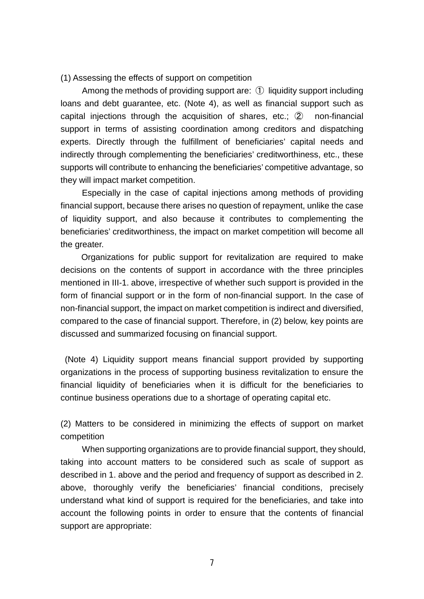#### (1) Assessing the effects of support on competition

Among the methods of providing support are: ① liquidity support including loans and debt guarantee, etc. (Note 4), as well as financial support such as capital injections through the acquisition of shares, etc.; ② non-financial support in terms of assisting coordination among creditors and dispatching experts. Directly through the fulfillment of beneficiaries' capital needs and indirectly through complementing the beneficiaries' creditworthiness, etc., these supports will contribute to enhancing the beneficiaries' competitive advantage, so they will impact market competition.

Especially in the case of capital injections among methods of providing financial support, because there arises no question of repayment, unlike the case of liquidity support, and also because it contributes to complementing the beneficiaries' creditworthiness, the impact on market competition will become all the greater.

Organizations for public support for revitalization are required to make decisions on the contents of support in accordance with the three principles mentioned in III-1. above, irrespective of whether such support is provided in the form of financial support or in the form of non-financial support. In the case of non-financial support, the impact on market competition is indirect and diversified, compared to the case of financial support. Therefore, in (2) below, key points are discussed and summarized focusing on financial support.

(Note 4) Liquidity support means financial support provided by supporting organizations in the process of supporting business revitalization to ensure the financial liquidity of beneficiaries when it is difficult for the beneficiaries to continue business operations due to a shortage of operating capital etc.

(2) Matters to be considered in minimizing the effects of support on market competition

When supporting organizations are to provide financial support, they should, taking into account matters to be considered such as scale of support as described in 1. above and the period and frequency of support as described in 2. above, thoroughly verify the beneficiaries' financial conditions, precisely understand what kind of support is required for the beneficiaries, and take into account the following points in order to ensure that the contents of financial support are appropriate: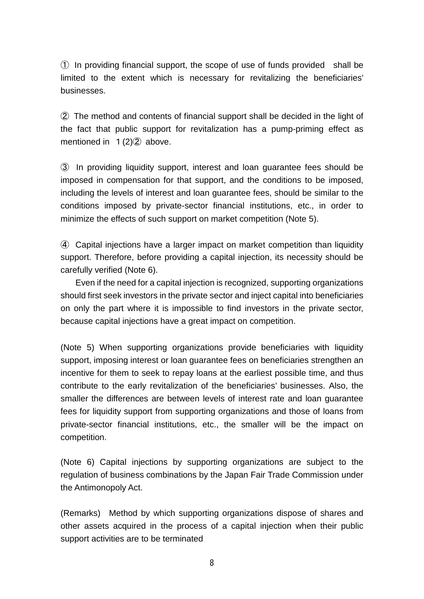① In providing financial support, the scope of use of funds provided shall be limited to the extent which is necessary for revitalizing the beneficiaries' businesses.

② The method and contents of financial support shall be decided in the light of the fact that public support for revitalization has a pump-priming effect as mentioned in  $1(2)$  $(2)$  above.

③ In providing liquidity support, interest and loan guarantee fees should be imposed in compensation for that support, and the conditions to be imposed, including the levels of interest and loan guarantee fees, should be similar to the conditions imposed by private-sector financial institutions, etc., in order to minimize the effects of such support on market competition (Note 5).

④ Capital injections have a larger impact on market competition than liquidity support. Therefore, before providing a capital injection, its necessity should be carefully verified (Note 6).

Even if the need for a capital injection is recognized, supporting organizations should first seek investors in the private sector and inject capital into beneficiaries on only the part where it is impossible to find investors in the private sector, because capital injections have a great impact on competition.

(Note 5) When supporting organizations provide beneficiaries with liquidity support, imposing interest or loan guarantee fees on beneficiaries strengthen an incentive for them to seek to repay loans at the earliest possible time, and thus contribute to the early revitalization of the beneficiaries' businesses. Also, the smaller the differences are between levels of interest rate and loan guarantee fees for liquidity support from supporting organizations and those of loans from private-sector financial institutions, etc., the smaller will be the impact on competition.

(Note 6) Capital injections by supporting organizations are subject to the regulation of business combinations by the Japan Fair Trade Commission under the Antimonopoly Act.

(Remarks) Method by which supporting organizations dispose of shares and other assets acquired in the process of a capital injection when their public support activities are to be terminated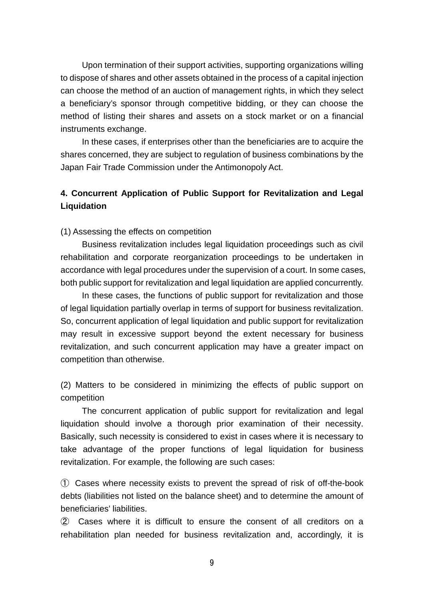Upon termination of their support activities, supporting organizations willing to dispose of shares and other assets obtained in the process of a capital injection can choose the method of an auction of management rights, in which they select a beneficiary's sponsor through competitive bidding, or they can choose the method of listing their shares and assets on a stock market or on a financial instruments exchange.

In these cases, if enterprises other than the beneficiaries are to acquire the shares concerned, they are subject to regulation of business combinations by the Japan Fair Trade Commission under the Antimonopoly Act.

## **4. Concurrent Application of Public Support for Revitalization and Legal Liquidation**

(1) Assessing the effects on competition

Business revitalization includes legal liquidation proceedings such as civil rehabilitation and corporate reorganization proceedings to be undertaken in accordance with legal procedures under the supervision of a court. In some cases, both public support for revitalization and legal liquidation are applied concurrently.

In these cases, the functions of public support for revitalization and those of legal liquidation partially overlap in terms of support for business revitalization. So, concurrent application of legal liquidation and public support for revitalization may result in excessive support beyond the extent necessary for business revitalization, and such concurrent application may have a greater impact on competition than otherwise.

(2) Matters to be considered in minimizing the effects of public support on competition

The concurrent application of public support for revitalization and legal liquidation should involve a thorough prior examination of their necessity. Basically, such necessity is considered to exist in cases where it is necessary to take advantage of the proper functions of legal liquidation for business revitalization. For example, the following are such cases:

① Cases where necessity exists to prevent the spread of risk of off-the-book debts (liabilities not listed on the balance sheet) and to determine the amount of beneficiaries' liabilities.

② Cases where it is difficult to ensure the consent of all creditors on a rehabilitation plan needed for business revitalization and, accordingly, it is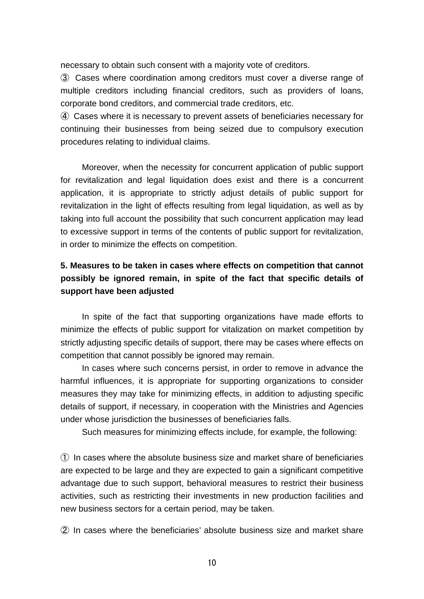necessary to obtain such consent with a majority vote of creditors.

③ Cases where coordination among creditors must cover a diverse range of multiple creditors including financial creditors, such as providers of loans, corporate bond creditors, and commercial trade creditors, etc.

④ Cases where it is necessary to prevent assets of beneficiaries necessary for continuing their businesses from being seized due to compulsory execution procedures relating to individual claims.

Moreover, when the necessity for concurrent application of public support for revitalization and legal liquidation does exist and there is a concurrent application, it is appropriate to strictly adjust details of public support for revitalization in the light of effects resulting from legal liquidation, as well as by taking into full account the possibility that such concurrent application may lead to excessive support in terms of the contents of public support for revitalization, in order to minimize the effects on competition.

# **5. Measures to be taken in cases where effects on competition that cannot possibly be ignored remain, in spite of the fact that specific details of support have been adjusted**

In spite of the fact that supporting organizations have made efforts to minimize the effects of public support for vitalization on market competition by strictly adjusting specific details of support, there may be cases where effects on competition that cannot possibly be ignored may remain.

In cases where such concerns persist, in order to remove in advance the harmful influences, it is appropriate for supporting organizations to consider measures they may take for minimizing effects, in addition to adjusting specific details of support, if necessary, in cooperation with the Ministries and Agencies under whose jurisdiction the businesses of beneficiaries falls.

Such measures for minimizing effects include, for example, the following:

① In cases where the absolute business size and market share of beneficiaries are expected to be large and they are expected to gain a significant competitive advantage due to such support, behavioral measures to restrict their business activities, such as restricting their investments in new production facilities and new business sectors for a certain period, may be taken.

② In cases where the beneficiaries' absolute business size and market share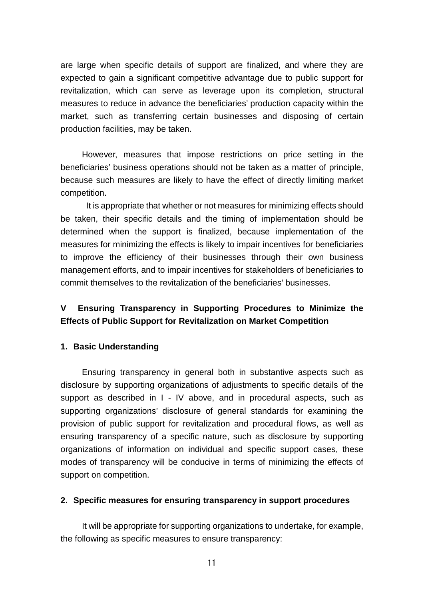are large when specific details of support are finalized, and where they are expected to gain a significant competitive advantage due to public support for revitalization, which can serve as leverage upon its completion, structural measures to reduce in advance the beneficiaries' production capacity within the market, such as transferring certain businesses and disposing of certain production facilities, may be taken.

 However, measures that impose restrictions on price setting in the beneficiaries' business operations should not be taken as a matter of principle, because such measures are likely to have the effect of directly limiting market competition.

It is appropriate that whether or not measures for minimizing effects should be taken, their specific details and the timing of implementation should be determined when the support is finalized, because implementation of the measures for minimizing the effects is likely to impair incentives for beneficiaries to improve the efficiency of their businesses through their own business management efforts, and to impair incentives for stakeholders of beneficiaries to commit themselves to the revitalization of the beneficiaries' businesses.

# **V Ensuring Transparency in Supporting Procedures to Minimize the Effects of Public Support for Revitalization on Market Competition**

## **1. Basic Understanding**

Ensuring transparency in general both in substantive aspects such as disclosure by supporting organizations of adjustments to specific details of the support as described in I - IV above, and in procedural aspects, such as supporting organizations' disclosure of general standards for examining the provision of public support for revitalization and procedural flows, as well as ensuring transparency of a specific nature, such as disclosure by supporting organizations of information on individual and specific support cases, these modes of transparency will be conducive in terms of minimizing the effects of support on competition.

### **2. Specific measures for ensuring transparency in support procedures**

It will be appropriate for supporting organizations to undertake, for example, the following as specific measures to ensure transparency: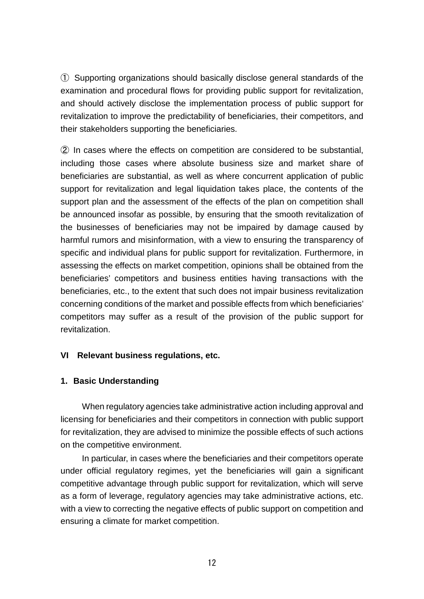① Supporting organizations should basically disclose general standards of the examination and procedural flows for providing public support for revitalization, and should actively disclose the implementation process of public support for revitalization to improve the predictability of beneficiaries, their competitors, and their stakeholders supporting the beneficiaries.

② In cases where the effects on competition are considered to be substantial, including those cases where absolute business size and market share of beneficiaries are substantial, as well as where concurrent application of public support for revitalization and legal liquidation takes place, the contents of the support plan and the assessment of the effects of the plan on competition shall be announced insofar as possible, by ensuring that the smooth revitalization of the businesses of beneficiaries may not be impaired by damage caused by harmful rumors and misinformation, with a view to ensuring the transparency of specific and individual plans for public support for revitalization. Furthermore, in assessing the effects on market competition, opinions shall be obtained from the beneficiaries' competitors and business entities having transactions with the beneficiaries, etc., to the extent that such does not impair business revitalization concerning conditions of the market and possible effects from which beneficiaries' competitors may suffer as a result of the provision of the public support for revitalization.

## **VI Relevant business regulations, etc.**

## **1. Basic Understanding**

When regulatory agencies take administrative action including approval and licensing for beneficiaries and their competitors in connection with public support for revitalization, they are advised to minimize the possible effects of such actions on the competitive environment.

In particular, in cases where the beneficiaries and their competitors operate under official regulatory regimes, yet the beneficiaries will gain a significant competitive advantage through public support for revitalization, which will serve as a form of leverage, regulatory agencies may take administrative actions, etc. with a view to correcting the negative effects of public support on competition and ensuring a climate for market competition.